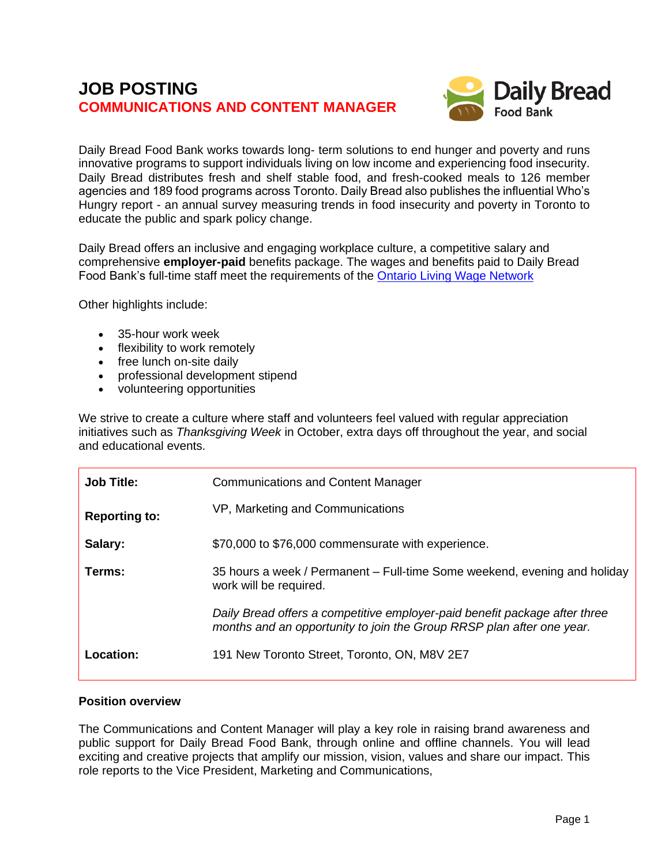# **JOB POSTING COMMUNICATIONS AND CONTENT MANAGER**



Daily Bread Food Bank works towards long- term solutions to end hunger and poverty and runs innovative programs to support individuals living on low income and experiencing food insecurity. Daily Bread distributes fresh and shelf stable food, and fresh-cooked meals to 126 member agencies and 189 food programs across Toronto. Daily Bread also publishes the influential Who's Hungry report - an annual survey measuring trends in food insecurity and poverty in Toronto to educate the public and spark policy change.

Daily Bread offers an inclusive and engaging workplace culture, a competitive salary and comprehensive **employer-paid** benefits package. The wages and benefits paid to Daily Bread Food Bank's full-time staff meet the requirements of the [Ontario Living Wage Network](https://www.ontariolivingwage.ca/what_is_the_living_wage)

Other highlights include:

- 35-hour work week
- flexibility to work remotely
- free lunch on-site daily
- professional development stipend
- volunteering opportunities

We strive to create a culture where staff and volunteers feel valued with regular appreciation initiatives such as *Thanksgiving Week* in October, extra days off throughout the year, and social and educational events.

| <b>Job Title:</b>    | <b>Communications and Content Manager</b>                                                                                                           |
|----------------------|-----------------------------------------------------------------------------------------------------------------------------------------------------|
| <b>Reporting to:</b> | VP, Marketing and Communications                                                                                                                    |
| Salary:              | \$70,000 to \$76,000 commensurate with experience.                                                                                                  |
| Terms:               | 35 hours a week / Permanent – Full-time Some weekend, evening and holiday<br>work will be required.                                                 |
|                      | Daily Bread offers a competitive employer-paid benefit package after three<br>months and an opportunity to join the Group RRSP plan after one year. |
| Location:            | 191 New Toronto Street, Toronto, ON, M8V 2E7                                                                                                        |

#### **Position overview**

The Communications and Content Manager will play a key role in raising brand awareness and public support for Daily Bread Food Bank, through online and offline channels. You will lead exciting and creative projects that amplify our mission, vision, values and share our impact. This role reports to the Vice President, Marketing and Communications,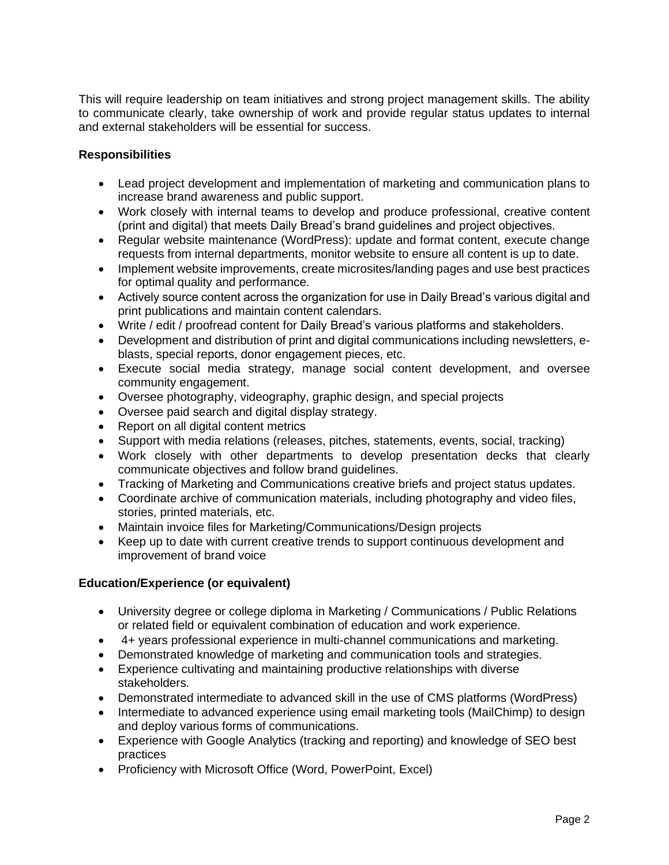This will require leadership on team initiatives and strong project management skills. The ability to communicate clearly, take ownership of work and provide regular status updates to internal and external stakeholders will be essential for success.

### **Responsibilities**

- Lead project development and implementation of marketing and communication plans to increase brand awareness and public support.
- Work closely with internal teams to develop and produce professional, creative content (print and digital) that meets Daily Bread's brand guidelines and project objectives.
- Regular website maintenance (WordPress): update and format content, execute change requests from internal departments, monitor website to ensure all content is up to date.
- Implement website improvements, create microsites/landing pages and use best practices for optimal quality and performance.
- Actively source content across the organization for use in Daily Bread's various digital and print publications and maintain content calendars.
- Write / edit / proofread content for Daily Bread's various platforms and stakeholders.
- Development and distribution of print and digital communications including newsletters, eblasts, special reports, donor engagement pieces, etc.
- Execute social media strategy, manage social content development, and oversee community engagement.
- Oversee photography, videography, graphic design, and special projects
- Oversee paid search and digital display strategy.
- Report on all digital content metrics
- Support with media relations (releases, pitches, statements, events, social, tracking)
- Work closely with other departments to develop presentation decks that clearly communicate objectives and follow brand guidelines.
- Tracking of Marketing and Communications creative briefs and project status updates.
- Coordinate archive of communication materials, including photography and video files, stories, printed materials, etc.
- Maintain invoice files for Marketing/Communications/Design projects
- Keep up to date with current creative trends to support continuous development and improvement of brand voice

### **Education/Experience (or equivalent)**

- University degree or college diploma in Marketing / Communications / Public Relations or related field or equivalent combination of education and work experience.
- 4+ years professional experience in multi-channel communications and marketing.
- Demonstrated knowledge of marketing and communication tools and strategies.
- Experience cultivating and maintaining productive relationships with diverse stakeholders.
- Demonstrated intermediate to advanced skill in the use of CMS platforms (WordPress)
- Intermediate to advanced experience using email marketing tools (MailChimp) to design and deploy various forms of communications.
- Experience with Google Analytics (tracking and reporting) and knowledge of SEO best practices
- Proficiency with Microsoft Office (Word, PowerPoint, Excel)